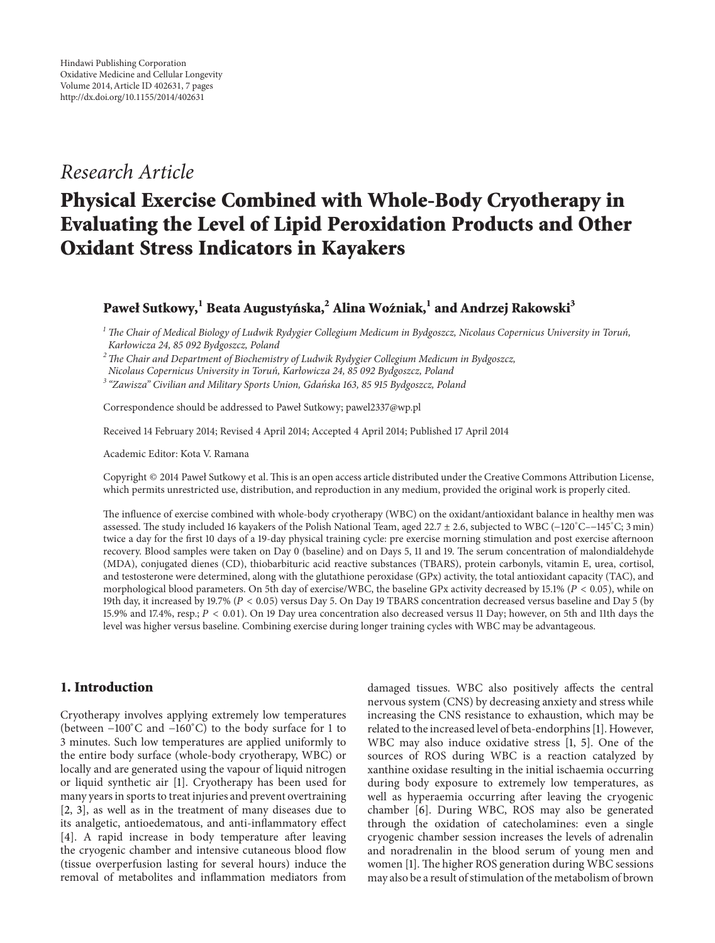# *Research Article*

# **Physical Exercise Combined with Whole-Body Cryotherapy in Evaluating the Level of Lipid Peroxidation Products and Other Oxidant Stress Indicators in Kayakers**

# **Paweł Sutkowy,**<sup>1</sup> Beata Augustyńska,<sup>2</sup> Alina Woźniak,<sup>1</sup> and Andrzej Rakowski<sup>3</sup>

*<sup>1</sup> The Chair of Medical Biology of Ludwik Rydygier Collegium Medicum in Bydgoszcz, Nicolaus Copernicus University in Torun, ´ Karłowicza 24, 85 092 Bydgoszcz, Poland*

*2The Chair and Department of Biochemistry of Ludwik Rydygier Collegium Medicum in Bydgoszcz,*

*Nicolaus Copernicus University in Torun, Karłowicza 24, 85 092 Bydgoszcz, Poland ´*

*<sup>3</sup> "Zawisza" Civilian and Military Sports Union, Gdanska 163, 85 915 Bydgoszcz, Poland ´*

Correspondence should be addressed to Paweł Sutkowy; pawel2337@wp.pl

Received 14 February 2014; Revised 4 April 2014; Accepted 4 April 2014; Published 17 April 2014

Academic Editor: Kota V. Ramana

Copyright © 2014 Paweł Sutkowy et al. This is an open access article distributed under the Creative Commons Attribution License, which permits unrestricted use, distribution, and reproduction in any medium, provided the original work is properly cited.

The influence of exercise combined with whole-body cryotherapy (WBC) on the oxidant/antioxidant balance in healthy men was assessed. The study included 16 kayakers of the Polish National Team, aged 22.7 ± 2.6, subjected to WBC (−120<sup>∘</sup> C–−145<sup>∘</sup> C; 3 min) twice a day for the first 10 days of a 19-day physical training cycle: pre exercise morning stimulation and post exercise afternoon recovery. Blood samples were taken on Day 0 (baseline) and on Days 5, 11 and 19. The serum concentration of malondialdehyde (MDA), conjugated dienes (CD), thiobarbituric acid reactive substances (TBARS), protein carbonyls, vitamin E, urea, cortisol, and testosterone were determined, along with the glutathione peroxidase (GPx) activity, the total antioxidant capacity (TAC), and morphological blood parameters. On 5th day of exercise/WBC, the baseline GPx activity decreased by 15.1% ( $P < 0.05$ ), while on 19th day, it increased by 19.7% ( $P < 0.05$ ) versus Day 5. On Day 19 TBARS concentration decreased versus baseline and Day 5 (by 15.9% and 17.4%, resp.;  $P < 0.01$ ). On 19 Day urea concentration also decreased versus 11 Day; however, on 5th and 11th days the level was higher versus baseline. Combining exercise during longer training cycles with WBC may be advantageous.

# **1. Introduction**

Cryotherapy involves applying extremely low temperatures (between −100<sup>∘</sup> C and −160<sup>∘</sup> C) to the body surface for 1 to 3 minutes. Such low temperatures are applied uniformly to the entire body surface (whole-body cryotherapy, WBC) or locally and are generated using the vapour of liquid nitrogen or liquid synthetic air [1]. Cryotherapy has been used for many years in sports to treat injuries and prevent overtraining [2, 3], as well as in the treatment of many diseases due to its analgetic, antioedematous, and anti-inflammatory effect [4]. A rapid increase in body temperature after leaving the cryogenic chamber and intensive cutaneous blood flow (tissue overperfusion lasting for several hours) induce the removal of metabolites and inflammation mediators from

damaged tissues. WBC also positively affects the central nervous system (CNS) by decreasing anxiety and stress while increasing the CNS resistance to exhaustion, which may be related to the increased level of beta-endorphins [1]. However, WBC may also induce oxidative stress [1, 5]. One of the sources of ROS during WBC is a reaction catalyzed by xanthine oxidase resulting in the initial ischaemia occurring during body exposure to extremely low temperatures, as well as hyperaemia occurring after leaving the cryogenic chamber [6]. During WBC, ROS may also be generated through the oxidation of catecholamines: even a single cryogenic chamber session increases the levels of adrenalin and noradrenalin in the blood serum of young men and women [1]. The higher ROS generation during WBC sessions may also be a result of stimulation of the metabolism of brown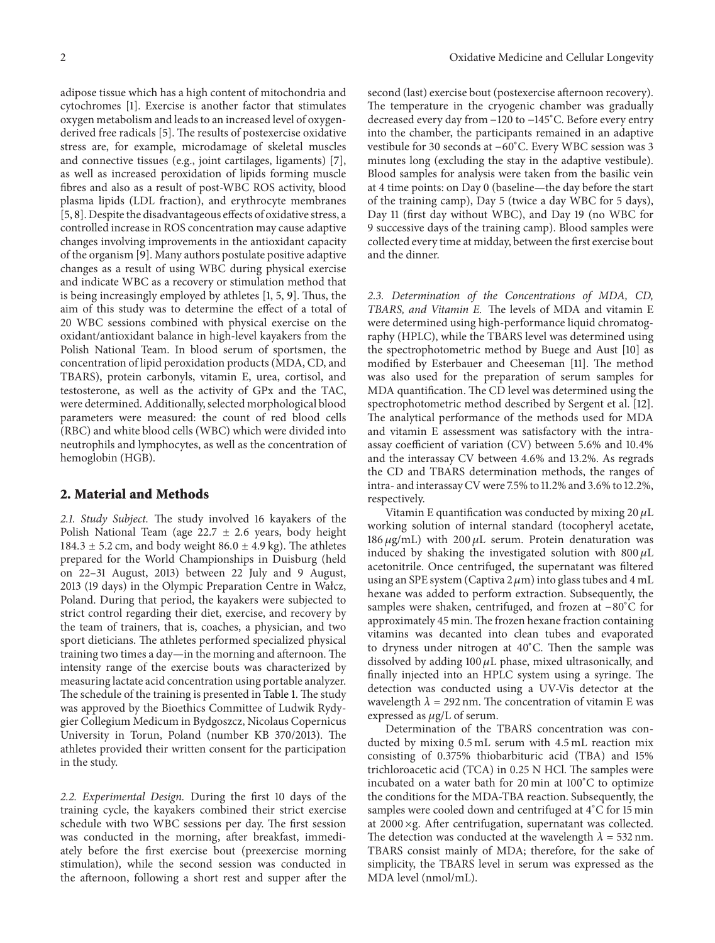adipose tissue which has a high content of mitochondria and cytochromes [1]. Exercise is another factor that stimulates oxygen metabolism and leads to an increased level of oxygenderived free radicals [5]. The results of postexercise oxidative stress are, for example, microdamage of skeletal muscles and connective tissues (e.g., joint cartilages, ligaments) [7], as well as increased peroxidation of lipids forming muscle fibres and also as a result of post-WBC ROS activity, blood plasma lipids (LDL fraction), and erythrocyte membranes [5, 8]. Despite the disadvantageous effects of oxidative stress, a controlled increase in ROS concentration may cause adaptive changes involving improvements in the antioxidant capacity of the organism [9]. Many authors postulate positive adaptive changes as a result of using WBC during physical exercise and indicate WBC as a recovery or stimulation method that is being increasingly employed by athletes [1, 5, 9]. Thus, the aim of this study was to determine the effect of a total of 20 WBC sessions combined with physical exercise on the oxidant/antioxidant balance in high-level kayakers from the Polish National Team. In blood serum of sportsmen, the concentration of lipid peroxidation products (MDA, CD, and TBARS), protein carbonyls, vitamin E, urea, cortisol, and testosterone, as well as the activity of GPx and the TAC, were determined. Additionally, selected morphological blood parameters were measured: the count of red blood cells (RBC) and white blood cells (WBC) which were divided into neutrophils and lymphocytes, as well as the concentration of hemoglobin (HGB).

# **2. Material and Methods**

*2.1. Study Subject.* The study involved 16 kayakers of the Polish National Team (age  $22.7 \pm 2.6$  years, body height 184.3  $\pm$  5.2 cm, and body weight 86.0  $\pm$  4.9 kg). The athletes prepared for the World Championships in Duisburg (held on 22–31 August, 2013) between 22 July and 9 August, 2013 (19 days) in the Olympic Preparation Centre in Wałcz, Poland. During that period, the kayakers were subjected to strict control regarding their diet, exercise, and recovery by the team of trainers, that is, coaches, a physician, and two sport dieticians. The athletes performed specialized physical training two times a day—in the morning and afternoon. The intensity range of the exercise bouts was characterized by measuring lactate acid concentration using portable analyzer. The schedule of the training is presented in Table 1. The study was approved by the Bioethics Committee of Ludwik Rydygier Collegium Medicum in Bydgoszcz, Nicolaus Copernicus University in Torun, Poland (number KB 370/2013). The athletes provided their written consent for the participation in the study.

*2.2. Experimental Design.* During the first 10 days of the training cycle, the kayakers combined their strict exercise schedule with two WBC sessions per day. The first session was conducted in the morning, after breakfast, immediately before the first exercise bout (preexercise morning stimulation), while the second session was conducted in the afternoon, following a short rest and supper after the

second (last) exercise bout (postexercise afternoon recovery). The temperature in the cryogenic chamber was gradually decreased every day from −120 to −145<sup>∘</sup> C. Before every entry into the chamber, the participants remained in an adaptive vestibule for 30 seconds at −60<sup>∘</sup> C. Every WBC session was 3 minutes long (excluding the stay in the adaptive vestibule). Blood samples for analysis were taken from the basilic vein at 4 time points: on Day 0 (baseline—the day before the start of the training camp), Day 5 (twice a day WBC for 5 days), Day 11 (first day without WBC), and Day 19 (no WBC for 9 successive days of the training camp). Blood samples were collected every time at midday, between the first exercise bout and the dinner.

*2.3. Determination of the Concentrations of MDA, CD, TBARS, and Vitamin E.* The levels of MDA and vitamin E were determined using high-performance liquid chromatography (HPLC), while the TBARS level was determined using the spectrophotometric method by Buege and Aust [10] as modified by Esterbauer and Cheeseman [11]. The method was also used for the preparation of serum samples for MDA quantification. The CD level was determined using the spectrophotometric method described by Sergent et al. [12]. The analytical performance of the methods used for MDA and vitamin E assessment was satisfactory with the intraassay coefficient of variation (CV) between 5.6% and 10.4% and the interassay CV between 4.6% and 13.2%. As regrads the CD and TBARS determination methods, the ranges of intra- and interassay CV were 7.5% to 11.2% and 3.6% to 12.2%, respectively.

Vitamin E quantification was conducted by mixing  $20 \mu L$ working solution of internal standard (tocopheryl acetate, 186  $\mu$ g/mL) with 200  $\mu$ L serum. Protein denaturation was induced by shaking the investigated solution with  $800 \mu L$ acetonitrile. Once centrifuged, the supernatant was filtered using an SPE system (Captiva 2  $\mu$ m) into glass tubes and 4 mL hexane was added to perform extraction. Subsequently, the samples were shaken, centrifuged, and frozen at −80<sup>∘</sup> C for approximately 45 min. The frozen hexane fraction containing vitamins was decanted into clean tubes and evaporated to dryness under nitrogen at 40<sup>∘</sup> C. Then the sample was dissolved by adding 100  $\mu$ L phase, mixed ultrasonically, and finally injected into an HPLC system using a syringe. The detection was conducted using a UV-Vis detector at the wavelength  $\lambda = 292$  nm. The concentration of vitamin E was expressed as  $\mu$ g/L of serum.

Determination of the TBARS concentration was conducted by mixing 0.5 mL serum with 4.5 mL reaction mix consisting of 0.375% thiobarbituric acid (TBA) and 15% trichloroacetic acid (TCA) in 0.25 N HCl. The samples were incubated on a water bath for 20 min at 100<sup>∘</sup> C to optimize the conditions for the MDA-TBA reaction. Subsequently, the samples were cooled down and centrifuged at 4<sup>∘</sup> C for 15 min at 2000 ×g. After centrifugation, supernatant was collected. The detection was conducted at the wavelength  $\lambda = 532$  nm. TBARS consist mainly of MDA; therefore, for the sake of simplicity, the TBARS level in serum was expressed as the MDA level (nmol/mL).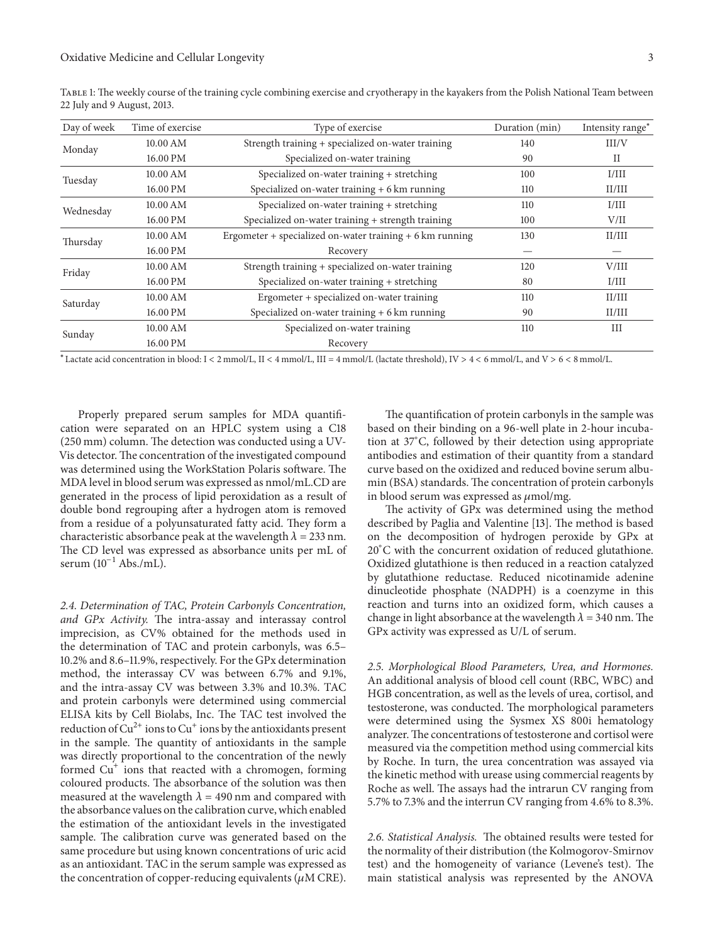| Day of week | Time of exercise | Type of exercise                                                   | Duration (min) | Intensity range <sup>*</sup> |
|-------------|------------------|--------------------------------------------------------------------|----------------|------------------------------|
| Monday      | 10.00 AM         | Strength training + specialized on-water training                  | 140            | III/V                        |
|             | 16.00 PM         | Specialized on-water training                                      | 90             | П                            |
| Tuesday     | 10.00 AM         | Specialized on-water training + stretching                         | 100            | I/III                        |
|             | 16.00 PM         | Specialized on-water training + 6 km running                       | 110            | II/III                       |
| Wednesday   | 10.00 AM         | Specialized on-water training + stretching                         | 110            | I/III                        |
|             | 16.00 PM         | Specialized on-water training + strength training                  | 100            | V/II                         |
| Thursday    | 10.00 AM         | Ergometer + specialized on-water training $+ 6 \text{ km}$ running | 130            | II/III                       |
|             | 16.00 PM         | Recovery                                                           |                |                              |
| Friday      | 10.00 AM         | Strength training + specialized on-water training                  | 120            | V/III                        |
|             | 16.00 PM         | Specialized on-water training + stretching                         | 80             | I/III                        |
| Saturday    | 10.00 AM         | Ergometer + specialized on-water training                          | 110            | II/III                       |
|             | 16.00 PM         | Specialized on-water training $+6$ km running                      | 90             | II/III                       |
| Sunday      | 10.00 AM         | Specialized on-water training                                      | 110            | III                          |
|             | 16.00 PM         | Recovery                                                           |                |                              |

Table 1: The weekly course of the training cycle combining exercise and cryotherapy in the kayakers from the Polish National Team between 22 July and 9 August, 2013.

<sup>∗</sup>Lactate acid concentration in blood: I < 2 mmol/L, II < 4 mmol/L, III = 4 mmol/L (lactate threshold), IV > 4 < 6 mmol/L, and V > 6 < 8 mmol/L.

Properly prepared serum samples for MDA quantification were separated on an HPLC system using a C18 (250 mm) column. The detection was conducted using a UV-Vis detector.The concentration of the investigated compound was determined using the WorkStation Polaris software. The MDA level in blood serum was expressed as nmol/mL.CD are generated in the process of lipid peroxidation as a result of double bond regrouping after a hydrogen atom is removed from a residue of a polyunsaturated fatty acid. They form a characteristic absorbance peak at the wavelength  $\lambda = 233$  nm. The CD level was expressed as absorbance units per mL of serum  $(10^{-1}$  Abs./mL).

*2.4. Determination of TAC, Protein Carbonyls Concentration, and GPx Activity.* The intra-assay and interassay control imprecision, as CV% obtained for the methods used in the determination of TAC and protein carbonyls, was 6.5– 10.2% and 8.6–11.9%, respectively. For the GPx determination method, the interassay CV was between 6.7% and 9.1%, and the intra-assay CV was between 3.3% and 10.3%. TAC and protein carbonyls were determined using commercial ELISA kits by Cell Biolabs, Inc. The TAC test involved the reduction of  $Cu^{2+}$  ions to  $Cu^{+}$  ions by the antioxidants present in the sample. The quantity of antioxidants in the sample was directly proportional to the concentration of the newly formed  $Cu<sup>+</sup>$  ions that reacted with a chromogen, forming coloured products. The absorbance of the solution was then measured at the wavelength  $\lambda = 490$  nm and compared with the absorbance values on the calibration curve, which enabled the estimation of the antioxidant levels in the investigated sample. The calibration curve was generated based on the same procedure but using known concentrations of uric acid as an antioxidant. TAC in the serum sample was expressed as the concentration of copper-reducing equivalents ( $\mu$ M CRE).

The quantification of protein carbonyls in the sample was based on their binding on a 96-well plate in 2-hour incubation at 37<sup>∘</sup> C, followed by their detection using appropriate antibodies and estimation of their quantity from a standard curve based on the oxidized and reduced bovine serum albumin (BSA) standards. The concentration of protein carbonyls in blood serum was expressed as  $\mu$ mol/mg.

The activity of GPx was determined using the method described by Paglia and Valentine [13]. The method is based on the decomposition of hydrogen peroxide by GPx at 20<sup>∘</sup> C with the concurrent oxidation of reduced glutathione. Oxidized glutathione is then reduced in a reaction catalyzed by glutathione reductase. Reduced nicotinamide adenine dinucleotide phosphate (NADPH) is a coenzyme in this reaction and turns into an oxidized form, which causes a change in light absorbance at the wavelength  $\lambda = 340$  nm. The GPx activity was expressed as U/L of serum.

*2.5. Morphological Blood Parameters, Urea, and Hormones.* An additional analysis of blood cell count (RBC, WBC) and HGB concentration, as well as the levels of urea, cortisol, and testosterone, was conducted. The morphological parameters were determined using the Sysmex XS 800i hematology analyzer.The concentrations of testosterone and cortisol were measured via the competition method using commercial kits by Roche. In turn, the urea concentration was assayed via the kinetic method with urease using commercial reagents by Roche as well. The assays had the intrarun CV ranging from 5.7% to 7.3% and the interrun CV ranging from 4.6% to 8.3%.

*2.6. Statistical Analysis.* The obtained results were tested for the normality of their distribution (the Kolmogorov-Smirnov test) and the homogeneity of variance (Levene's test). The main statistical analysis was represented by the ANOVA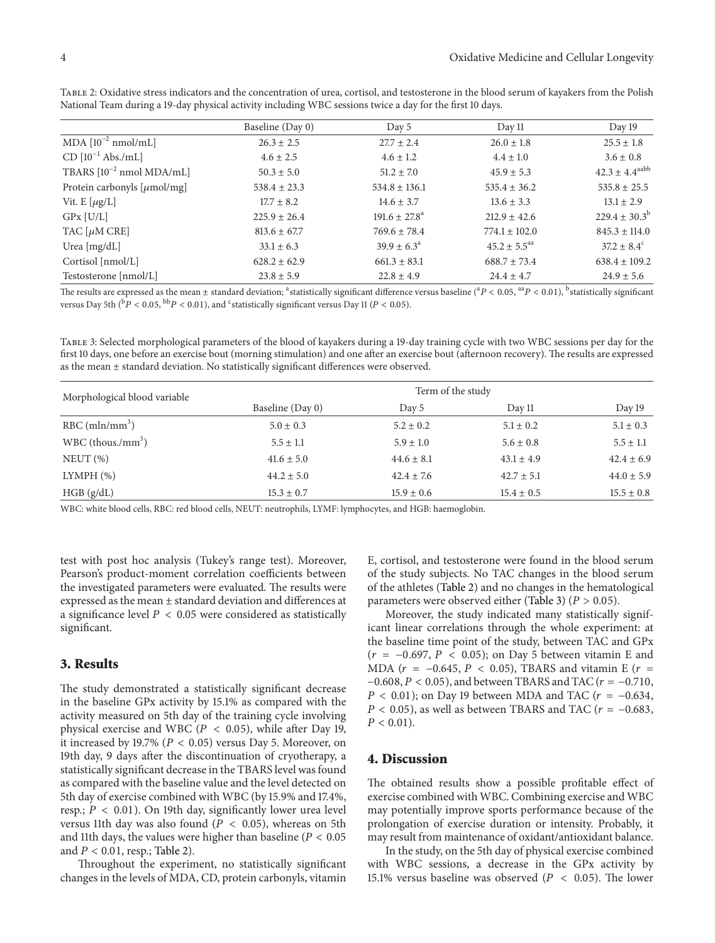|                                         | Baseline (Day 0) | Day 5                    | Day 11                       | Day 19                       |
|-----------------------------------------|------------------|--------------------------|------------------------------|------------------------------|
| MDA $[10^{-2}$ nmol/mL]                 | $26.3 \pm 2.5$   | $27.7 \pm 2.4$           | $26.0 \pm 1.8$               | $25.5 \pm 1.8$               |
| $CD [10^{-1}$ Abs./mL]                  | $4.6 \pm 2.5$    | $4.6 \pm 1.2$            | $4.4 \pm 1.0$                | $3.6 \pm 0.8$                |
| TBARS $[10^{-2}$ nmol MDA/mL]           | $50.3 \pm 5.0$   | $51.2 \pm 7.0$           | $45.9 \pm 5.3$               | $42.3 \pm 4.4^{\text{aabb}}$ |
| Protein carbonyls $[\mu \text{mol/mg}]$ | $538.4 \pm 23.3$ | $534.8 \pm 136.1$        | $535.4 \pm 36.2$             | $535.8 \pm 25.5$             |
| Vit. $E[\mu g/L]$                       | $17.7 \pm 8.2$   | $14.6 \pm 3.7$           | $13.6 \pm 3.3$               | $13.1 \pm 2.9$               |
| $GPx$ $[U/L]$                           | $225.9 \pm 26.4$ | $191.6 \pm 27.8^{\circ}$ | $212.9 \pm 42.6$             | $229.4 \pm 30.3^b$           |
| TAC $[\mu M \text{ CRE}]$               | $813.6 \pm 67.7$ | $769.6 \pm 78.4$         | $774.1 \pm 102.0$            | $845.3 \pm 114.0$            |
| Urea $[mg/dL]$                          | $33.1 \pm 6.3$   | $39.9 \pm 6.3^{\circ}$   | $45.2 \pm 5.5$ <sup>aa</sup> | $37.2 \pm 8.4^{\circ}$       |
| Cortisol [nmol/L]                       | $628.2 \pm 62.9$ | $661.3 \pm 83.1$         | $688.7 \pm 73.4$             | $638.4 \pm 109.2$            |
| Testosterone [nmol/L]                   | $23.8 \pm 5.9$   | $22.8 \pm 4.9$           | $24.4 \pm 4.7$               | $24.9 \pm 5.6$               |

Table 2: Oxidative stress indicators and the concentration of urea, cortisol, and testosterone in the blood serum of kayakers from the Polish National Team during a 19-day physical activity including WBC sessions twice a day for the first 10 days.

The results are expressed as the mean ± standard deviation; <sup>a</sup>statistically significant difference versus baseline (<sup>a</sup> $P$  < 0.05, <sup>aa</sup> $P$  < 0.01), <sup>b</sup>statistically significant versus Day 5th  $(^{\rm b}P < 0.05, ^{\rm bb}P < 0.01)$ , and <sup>c</sup>statistically significant versus Day 11 (P < 0.05).

Table 3: Selected morphological parameters of the blood of kayakers during a 19-day training cycle with two WBC sessions per day for the first 10 days, one before an exercise bout (morning stimulation) and one after an exercise bout (afternoon recovery). The results are expressed as the mean ± standard deviation. No statistically significant differences were observed.

| Morphological blood variable    | Term of the study |                |                |                |
|---------------------------------|-------------------|----------------|----------------|----------------|
|                                 | Baseline (Day 0)  | Day 5          | Day 11         | Day 19         |
| RBC (mln/mm <sup>3</sup> )      | $5.0 \pm 0.3$     | $5.2 \pm 0.2$  | $5.1 \pm 0.2$  | $5.1 \pm 0.3$  |
| $WBC$ (thous./mm <sup>3</sup> ) | $5.5 \pm 1.1$     | $5.9 \pm 1.0$  | $5.6 \pm 0.8$  | $5.5 \pm 1.1$  |
| NEUT(%)                         | $41.6 \pm 5.0$    | $44.6 \pm 8.1$ | $43.1 \pm 4.9$ | $42.4 \pm 6.9$ |
| LYMPH (%)                       | $44.2 \pm 5.0$    | $42.4 \pm 7.6$ | $42.7 \pm 5.1$ | $44.0 \pm 5.9$ |
| HGB(g/dL)                       | $15.3 \pm 0.7$    | $15.9 \pm 0.6$ | $15.4 \pm 0.5$ | $15.5 \pm 0.8$ |

WBC: white blood cells, RBC: red blood cells, NEUT: neutrophils, LYMF: lymphocytes, and HGB: haemoglobin.

test with post hoc analysis (Tukey's range test). Moreover, Pearson's product-moment correlation coefficients between the investigated parameters were evaluated. The results were expressed as the mean ± standard deviation and differences at a significance level  $P < 0.05$  were considered as statistically significant.

### **3. Results**

The study demonstrated a statistically significant decrease in the baseline GPx activity by 15.1% as compared with the activity measured on 5th day of the training cycle involving physical exercise and WBC ( $P < 0.05$ ), while after Day 19, it increased by 19.7% ( $P < 0.05$ ) versus Day 5. Moreover, on 19th day, 9 days after the discontinuation of cryotherapy, a statistically significant decrease in the TBARS level was found as compared with the baseline value and the level detected on 5th day of exercise combined with WBC (by 15.9% and 17.4%, resp.;  $P < 0.01$ ). On 19th day, significantly lower urea level versus 11th day was also found ( $P < 0.05$ ), whereas on 5th and 11th days, the values were higher than baseline ( $P < 0.05$ ) and  $P < 0.01$ , resp.; Table 2).

Throughout the experiment, no statistically significant changes in the levels of MDA, CD, protein carbonyls, vitamin E, cortisol, and testosterone were found in the blood serum of the study subjects. No TAC changes in the blood serum of the athletes (Table 2) and no changes in the hematological parameters were observed either (Table 3) ( $P > 0.05$ ).

Moreover, the study indicated many statistically significant linear correlations through the whole experiment: at the baseline time point of the study, between TAC and GPx  $(r = -0.697, P < 0.05)$ ; on Day 5 between vitamin E and MDA ( $r = -0.645$ ,  $P < 0.05$ ), TBARS and vitamin E ( $r =$  $-0.608$ ,  $P < 0.05$ ), and between TBARS and TAC ( $r = -0.710$ ,  $P < 0.01$ ); on Day 19 between MDA and TAC ( $r = -0.634$ ,  $P < 0.05$ ), as well as between TBARS and TAC ( $r = -0.683$ ,  $P < 0.01$ ).

# **4. Discussion**

The obtained results show a possible profitable effect of exercise combined with WBC. Combining exercise and WBC may potentially improve sports performance because of the prolongation of exercise duration or intensity. Probably, it may result from maintenance of oxidant/antioxidant balance.

In the study, on the 5th day of physical exercise combined with WBC sessions, a decrease in the GPx activity by 15.1% versus baseline was observed ( $P < 0.05$ ). The lower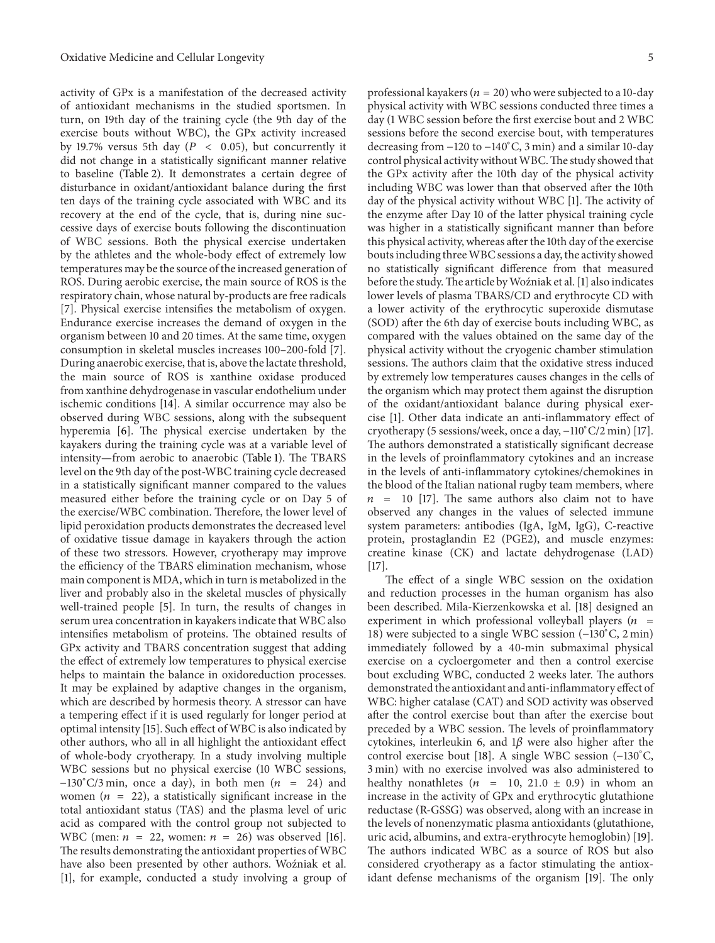activity of GPx is a manifestation of the decreased activity of antioxidant mechanisms in the studied sportsmen. In turn, on 19th day of the training cycle (the 9th day of the exercise bouts without WBC), the GPx activity increased by 19.7% versus 5th day ( $P < 0.05$ ), but concurrently it did not change in a statistically significant manner relative to baseline (Table 2). It demonstrates a certain degree of disturbance in oxidant/antioxidant balance during the first ten days of the training cycle associated with WBC and its recovery at the end of the cycle, that is, during nine successive days of exercise bouts following the discontinuation of WBC sessions. Both the physical exercise undertaken by the athletes and the whole-body effect of extremely low temperatures may be the source of the increased generation of ROS. During aerobic exercise, the main source of ROS is the respiratory chain, whose natural by-products are free radicals [7]. Physical exercise intensifies the metabolism of oxygen. Endurance exercise increases the demand of oxygen in the organism between 10 and 20 times. At the same time, oxygen consumption in skeletal muscles increases 100–200-fold [7]. During anaerobic exercise, that is, above the lactate threshold, the main source of ROS is xanthine oxidase produced from xanthine dehydrogenase in vascular endothelium under ischemic conditions [14]. A similar occurrence may also be observed during WBC sessions, along with the subsequent hyperemia [6]. The physical exercise undertaken by the kayakers during the training cycle was at a variable level of intensity—from aerobic to anaerobic (Table 1). The TBARS level on the 9th day of the post-WBC training cycle decreased in a statistically significant manner compared to the values measured either before the training cycle or on Day 5 of the exercise/WBC combination. Therefore, the lower level of lipid peroxidation products demonstrates the decreased level of oxidative tissue damage in kayakers through the action of these two stressors. However, cryotherapy may improve the efficiency of the TBARS elimination mechanism, whose main component is MDA, which in turn is metabolized in the liver and probably also in the skeletal muscles of physically well-trained people [5]. In turn, the results of changes in serum urea concentration in kayakers indicate that WBC also intensifies metabolism of proteins. The obtained results of GPx activity and TBARS concentration suggest that adding the effect of extremely low temperatures to physical exercise helps to maintain the balance in oxidoreduction processes. It may be explained by adaptive changes in the organism, which are described by hormesis theory. A stressor can have a tempering effect if it is used regularly for longer period at optimal intensity [15]. Such effect of WBC is also indicated by other authors, who all in all highlight the antioxidant effect of whole-body cryotherapy. In a study involving multiple WBC sessions but no physical exercise (10 WBC sessions,  $-130^{\circ}$ C/3 min, once a day), in both men (*n* = 24) and women ( $n = 22$ ), a statistically significant increase in the total antioxidant status (TAS) and the plasma level of uric acid as compared with the control group not subjected to WBC (men:  $n = 22$ , women:  $n = 26$ ) was observed [16]. The results demonstrating the antioxidant properties of WBC have also been presented by other authors. Woźniak et al. [1], for example, conducted a study involving a group of

professional kayakers ( $n = 20$ ) who were subjected to a 10-day physical activity with WBC sessions conducted three times a day (1 WBC session before the first exercise bout and 2 WBC sessions before the second exercise bout, with temperatures decreasing from −120 to −140<sup>∘</sup> C, 3 min) and a similar 10-day control physical activity without WBC. The study showed that the GPx activity after the 10th day of the physical activity including WBC was lower than that observed after the 10th day of the physical activity without WBC [1]. The activity of the enzyme after Day 10 of the latter physical training cycle was higher in a statistically significant manner than before this physical activity, whereas after the 10th day of the exercise bouts including threeWBC sessions a day, the activity showed no statistically significant difference from that measured before the study. The article by Woźniak et al. [1] also indicates lower levels of plasma TBARS/CD and erythrocyte CD with a lower activity of the erythrocytic superoxide dismutase (SOD) after the 6th day of exercise bouts including WBC, as compared with the values obtained on the same day of the physical activity without the cryogenic chamber stimulation sessions. The authors claim that the oxidative stress induced by extremely low temperatures causes changes in the cells of the organism which may protect them against the disruption of the oxidant/antioxidant balance during physical exercise [1]. Other data indicate an anti-inflammatory effect of cryotherapy (5 sessions/week, once a day, −110<sup>∘</sup> C/2 min) [17]. The authors demonstrated a statistically significant decrease in the levels of proinflammatory cytokines and an increase in the levels of anti-inflammatory cytokines/chemokines in the blood of the Italian national rugby team members, where  $n = 10$  [17]. The same authors also claim not to have observed any changes in the values of selected immune system parameters: antibodies (IgA, IgM, IgG), C-reactive protein, prostaglandin E2 (PGE2), and muscle enzymes: creatine kinase (CK) and lactate dehydrogenase (LAD)  $[17]$ 

The effect of a single WBC session on the oxidation and reduction processes in the human organism has also been described. Mila-Kierzenkowska et al. [18] designed an experiment in which professional volleyball players ( $n =$ 18) were subjected to a single WBC session (−130<sup>∘</sup> C, 2 min) immediately followed by a 40-min submaximal physical exercise on a cycloergometer and then a control exercise bout excluding WBC, conducted 2 weeks later. The authors demonstrated the antioxidant and anti-inflammatory effect of WBC: higher catalase (CAT) and SOD activity was observed after the control exercise bout than after the exercise bout preceded by a WBC session. The levels of proinflammatory cytokines, interleukin 6, and  $1\beta$  were also higher after the control exercise bout [18]. A single WBC session (−130<sup>∘</sup> C, 3 min) with no exercise involved was also administered to healthy nonathletes ( $n = 10, 21.0 \pm 0.9$ ) in whom an increase in the activity of GPx and erythrocytic glutathione reductase (R-GSSG) was observed, along with an increase in the levels of nonenzymatic plasma antioxidants (glutathione, uric acid, albumins, and extra-erythrocyte hemoglobin) [19]. The authors indicated WBC as a source of ROS but also considered cryotherapy as a factor stimulating the antioxidant defense mechanisms of the organism [19]. The only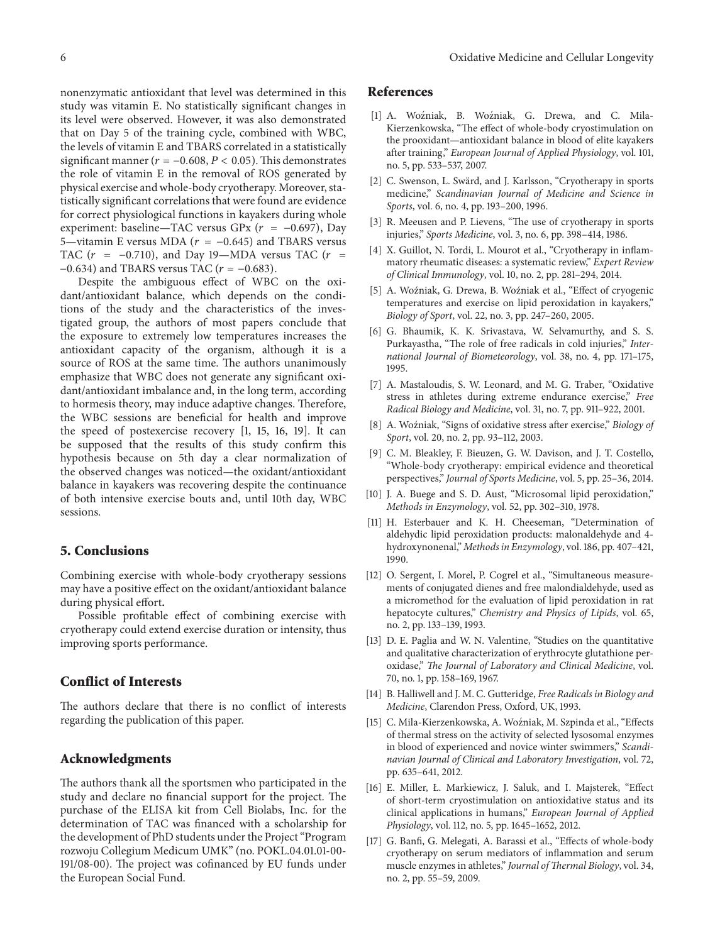nonenzymatic antioxidant that level was determined in this study was vitamin E. No statistically significant changes in its level were observed. However, it was also demonstrated that on Day 5 of the training cycle, combined with WBC, the levels of vitamin E and TBARS correlated in a statistically significant manner ( $r = -0.608$ ,  $P < 0.05$ ). This demonstrates the role of vitamin E in the removal of ROS generated by physical exercise and whole-body cryotherapy. Moreover, statistically significant correlations that were found are evidence for correct physiological functions in kayakers during whole experiment: baseline—TAC versus GPx ( $r = -0.697$ ), Day 5—vitamin E versus MDA ( $r = -0.645$ ) and TBARS versus TAC ( $r = -0.710$ ), and Day 19—MDA versus TAC ( $r =$ −0.634) and TBARS versus TAC ( $r = -0.683$ ).

Despite the ambiguous effect of WBC on the oxidant/antioxidant balance, which depends on the conditions of the study and the characteristics of the investigated group, the authors of most papers conclude that the exposure to extremely low temperatures increases the antioxidant capacity of the organism, although it is a source of ROS at the same time. The authors unanimously emphasize that WBC does not generate any significant oxidant/antioxidant imbalance and, in the long term, according to hormesis theory, may induce adaptive changes. Therefore, the WBC sessions are beneficial for health and improve the speed of postexercise recovery [1, 15, 16, 19]. It can be supposed that the results of this study confirm this hypothesis because on 5th day a clear normalization of the observed changes was noticed—the oxidant/antioxidant balance in kayakers was recovering despite the continuance of both intensive exercise bouts and, until 10th day, WBC sessions.

#### **5. Conclusions**

Combining exercise with whole-body cryotherapy sessions may have a positive effect on the oxidant/antioxidant balance during physical effort**.**

Possible profitable effect of combining exercise with cryotherapy could extend exercise duration or intensity, thus improving sports performance.

#### **Conflict of Interests**

The authors declare that there is no conflict of interests regarding the publication of this paper.

# **Acknowledgments**

The authors thank all the sportsmen who participated in the study and declare no financial support for the project. The purchase of the ELISA kit from Cell Biolabs, Inc. for the determination of TAC was financed with a scholarship for the development of PhD students under the Project "Program rozwoju Collegium Medicum UMK" (no. POKL.04.01.01-00- 191/08-00). The project was cofinanced by EU funds under the European Social Fund.

## **References**

- [1] A. Woźniak, B. Woźniak, G. Drewa, and C. Mila-Kierzenkowska, "The effect of whole-body cryostimulation on the prooxidant—antioxidant balance in blood of elite kayakers after training," *European Journal of Applied Physiology*, vol. 101, no. 5, pp. 533–537, 2007.
- [2] C. Swenson, L. Swärd, and J. Karlsson, "Cryotherapy in sports medicine," *Scandinavian Journal of Medicine and Science in Sports*, vol. 6, no. 4, pp. 193–200, 1996.
- [3] R. Meeusen and P. Lievens, "The use of cryotherapy in sports injuries," *Sports Medicine*, vol. 3, no. 6, pp. 398–414, 1986.
- [4] X. Guillot, N. Tordi, L. Mourot et al., "Cryotherapy in inflammatory rheumatic diseases: a systematic review," *Expert Review of Clinical Immunology*, vol. 10, no. 2, pp. 281–294, 2014.
- [5] A. Woźniak, G. Drewa, B. Woźniak et al., "Effect of cryogenic temperatures and exercise on lipid peroxidation in kayakers," *Biology of Sport*, vol. 22, no. 3, pp. 247–260, 2005.
- [6] G. Bhaumik, K. K. Srivastava, W. Selvamurthy, and S. S. Purkayastha, "The role of free radicals in cold injuries," *International Journal of Biometeorology*, vol. 38, no. 4, pp. 171–175, 1995.
- [7] A. Mastaloudis, S. W. Leonard, and M. G. Traber, "Oxidative stress in athletes during extreme endurance exercise," *Free Radical Biology and Medicine*, vol. 31, no. 7, pp. 911–922, 2001.
- [8] A. Woźniak, "Signs of oxidative stress after exercise," Biology of *Sport*, vol. 20, no. 2, pp. 93–112, 2003.
- [9] C. M. Bleakley, F. Bieuzen, G. W. Davison, and J. T. Costello, "Whole-body cryotherapy: empirical evidence and theoretical perspectives," *Journal of Sports Medicine*, vol. 5, pp. 25–36, 2014.
- [10] J. A. Buege and S. D. Aust, "Microsomal lipid peroxidation," *Methods in Enzymology*, vol. 52, pp. 302–310, 1978.
- [11] H. Esterbauer and K. H. Cheeseman, "Determination of aldehydic lipid peroxidation products: malonaldehyde and 4 hydroxynonenal," *Methods in Enzymology*, vol. 186, pp. 407–421, 1990.
- [12] O. Sergent, I. Morel, P. Cogrel et al., "Simultaneous measurements of conjugated dienes and free malondialdehyde, used as a micromethod for the evaluation of lipid peroxidation in rat hepatocyte cultures," *Chemistry and Physics of Lipids*, vol. 65, no. 2, pp. 133–139, 1993.
- [13] D. E. Paglia and W. N. Valentine, "Studies on the quantitative and qualitative characterization of erythrocyte glutathione peroxidase," *The Journal of Laboratory and Clinical Medicine*, vol. 70, no. 1, pp. 158–169, 1967.
- [14] B. Halliwell and J. M. C. Gutteridge, *Free Radicals in Biology and Medicine*, Clarendon Press, Oxford, UK, 1993.
- [15] C. Mila-Kierzenkowska, A. Woźniak, M. Szpinda et al., "Effects of thermal stress on the activity of selected lysosomal enzymes in blood of experienced and novice winter swimmers," *Scandinavian Journal of Clinical and Laboratory Investigation*, vol. 72, pp. 635–641, 2012.
- [16] E. Miller, Ł. Markiewicz, J. Saluk, and I. Majsterek, "Effect of short-term cryostimulation on antioxidative status and its clinical applications in humans," *European Journal of Applied Physiology*, vol. 112, no. 5, pp. 1645–1652, 2012.
- [17] G. Banfi, G. Melegati, A. Barassi et al., "Effects of whole-body cryotherapy on serum mediators of inflammation and serum muscle enzymes in athletes," *Journal of Thermal Biology*, vol. 34, no. 2, pp. 55–59, 2009.